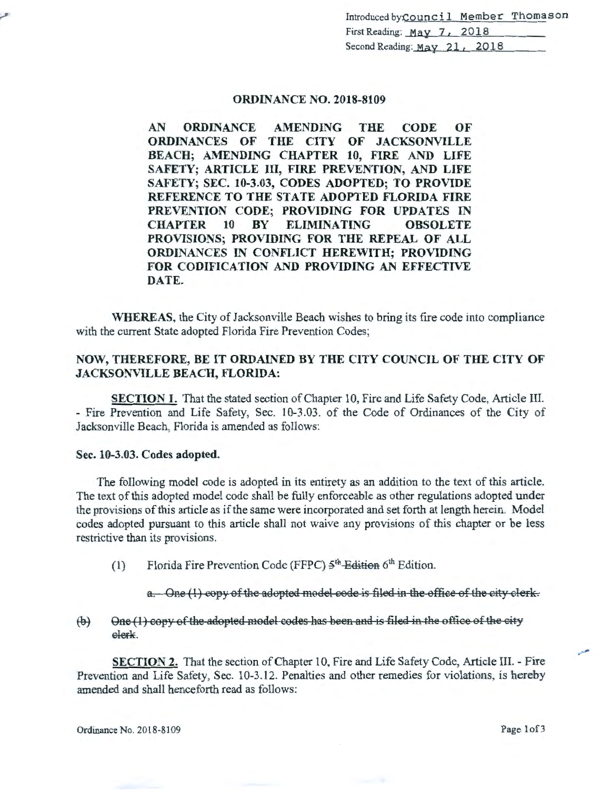Introduced byCouncil Member Thomason First Reading: May 7, 2018 Second Reading: May 21, 2018

# ORDINANCE NO. 2018-8109

AN ORDINANCE AMENDING THE CODE OF ORDINANCES OF THE CITY OF JACKSONVILLE BEACH; AMENDING CHAPTER 10, FIRE AND LIFE SAFETY; ARTICLE III, FIRE PREVENTION, AND LIFE SAFETY; SEC. 10-3.03, CODES ADOPTED; TO PROVIDE REFERENCE TO THE STATE ADOPTED FLORIDA FIRE PREVENTION CODE; PROVIDING FOR UPDATES IN CHAPTER 10 BY ELIMINATING OBSOLETE PROVISIONS; PROVIDING FOR THE REPEAL OF ALL ORDINANCES IN CONFLICT HEREWITH; PROVIDING FOR CODIFICATION AND PROVIDING AN EFFECTIVE DATE.

WHEREAS, the City of Jacksonville Beach wishes to bring its fire code into compliance with the current State adopted Florida Fire Prevention Codes;

# NOW, THEREFORE, BE IT ORDAINED BY THE CITY COUNCIL OF THE CITY OF JACKSONVILLE BEACH, FLORIDA:

SECTION 1. That the stated section of Chapter 10, Fire and Life Safety Code, Article III. - Fire Prevention and Life Safety, Sec. 10-3.03. of the Code of Ordinances of the City of Jacksonville Beach, Florida is amended as follows:

#### Sec. 10-3.03. Codes adopted.

The following model code is adopted in its entirety as an addition to the text of this article. The text of this adopted model code shall be fully enforceable as other regulations adopted under the provisions of this article as if the same were incorporated and set forth at length herein. Model codes adopted pursuant to this article shall not waive any provisions of this chapter or be less restrictive than its provisions.

(1) Florida Fire Prevention Code (FFPC)  $5^{\text{th}}$  Edition 6<sup>th</sup> Edition.

a. One (1) copy of the adopted model code is filed in the office of the city clerk.

 $\Theta$  One (1) copy of the adopted model codes has been and is filed in the office of the city elerk.

SECTION 2. That the section of Chapter 10, Fire and Life Safety Code, Article III. - Fire Prevention and Life Safety, Sec. 10-3.12. Penalties and other remedies for violations, is hereby amended and shall henceforth read as follows:

··-'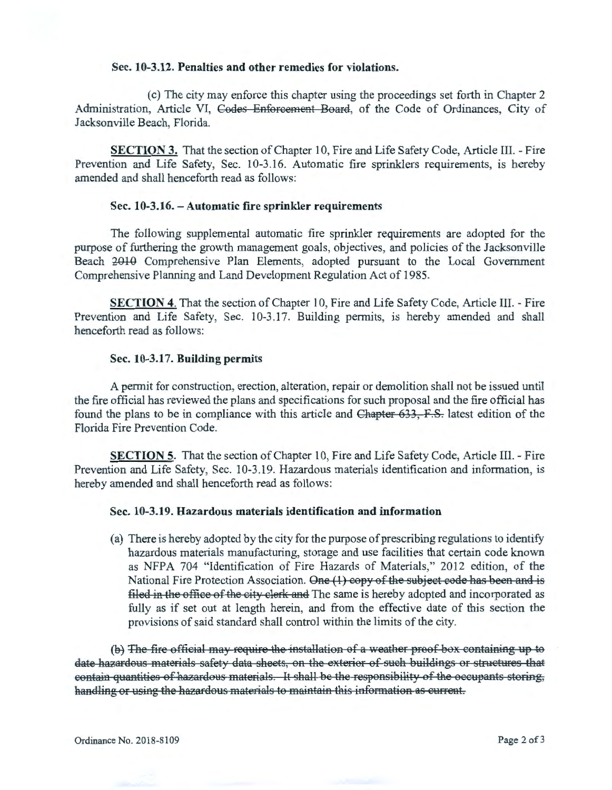#### Sec. 10-3.12. Penalties and other remedies for violations.

(c) The city may enforce this chapter using the proceedings set forth in Chapter 2 Administration, Article VI, Codes Enforcement Board, of the Code of Ordinances, City of Jacksonville Beach, Florida.

SECTION 3. That the section of Chapter 10, Fire and Life Safety Code, Article Ill. - Fire Prevention and Life Safety, Sec. 10-3.16. Automatic fire sprinklers requirements, is hereby amended and shall henceforth read as follows:

## Sec. 10-3.16. - Automatic fire sprinkler requirements

The following supplemental automatic fire sprinkler requirements are adopted for the purpose of furthering the growth management goals, objectives, and policies of the Jacksonville Beach  $2010$  Comprehensive Plan Elements, adopted pursuant to the Local Government Comprehensive Planning and Land Development Regulation Act of 1985.

SECTION 4. That the section of Chapter 10, Fire and Life Safety Code, Article III. - Fire Prevention and Life Safety, Sec. 10-3.17. Building permits, is hereby amended and shall henceforth read as follows:

#### Sec. 10-3.17. Building permits

A permit for construction, erection, alteration, repair or demolition shall not be issued until the fire official has reviewed the plans and specifications for such proposal and the fire official has found the plans to be in compliance with this article and Chapter 633, F.S. latest edition of the Florida Fire Prevention Code.

SECTION 5. That the section of Chapter 10, Fire and Life Safety Code, Article III. - Fire Prevention and Life Safety, Sec. 10-3.19. Hazardous materials identification and information, is hereby amended and shall henceforth read as follows:

## Sec. 10-3.19. Hazardous materials identification and information

(a) There is hereby adopted by the city for the purpose of prescribing regulations to identify hazardous materials manufacturing, storage and use facilities that certain code known as NFPA 704 "Identification of Fire Hazards of Materials," 2012 edition, of the National Fire Protection Association. One (1) copy of the subject code has been and is filed in the office of the city clerk and The same is hereby adopted and incorporated as fully as if set out at length herein, and from the effective date of this section the provisions of said standard shall control within the limits of the city.

(b) The fire official may require the installation of a weather proof box containing up to date hazardous materials safety data sheets, on the exterior of such buildings or structures that eontain quantities of hazardous materials. It shall be the responsibility of the occupants storing, handling or using the hazardous materials to maintain this information as current.